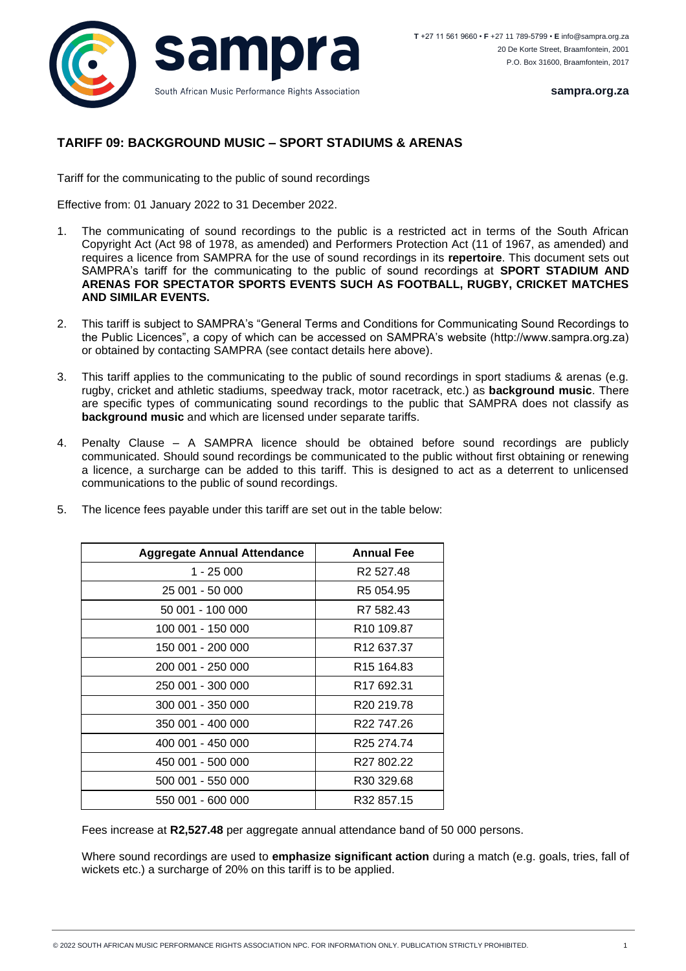

**sampra.org.za**

## **TARIFF 09: BACKGROUND MUSIC – SPORT STADIUMS & ARENAS**

Tariff for the communicating to the public of sound recordings

Effective from: 01 January 2022 to 31 December 2022.

- 1. The communicating of sound recordings to the public is a restricted act in terms of the South African Copyright Act (Act 98 of 1978, as amended) and Performers Protection Act (11 of 1967, as amended) and requires a licence from SAMPRA for the use of sound recordings in its **repertoire**. This document sets out SAMPRA's tariff for the communicating to the public of sound recordings at **SPORT STADIUM AND ARENAS FOR SPECTATOR SPORTS EVENTS SUCH AS FOOTBALL, RUGBY, CRICKET MATCHES AND SIMILAR EVENTS.**
- 2. This tariff is subject to SAMPRA's "General Terms and Conditions for Communicating Sound Recordings to the Public Licences", a copy of which can be accessed on SAMPRA's website (http://www.sampra.org.za) or obtained by contacting SAMPRA (see contact details here above).
- 3. This tariff applies to the communicating to the public of sound recordings in sport stadiums & arenas (e.g. rugby, cricket and athletic stadiums, speedway track, motor racetrack, etc.) as **background music**. There are specific types of communicating sound recordings to the public that SAMPRA does not classify as **background music** and which are licensed under separate tariffs.
- 4. Penalty Clause A SAMPRA licence should be obtained before sound recordings are publicly communicated. Should sound recordings be communicated to the public without first obtaining or renewing a licence, a surcharge can be added to this tariff. This is designed to act as a deterrent to unlicensed communications to the public of sound recordings.

| <b>Aggregate Annual Attendance</b> | <b>Annual Fee</b>      |
|------------------------------------|------------------------|
| $1 - 25000$                        | R <sub>2</sub> 527.48  |
| 25 001 - 50 000                    | R <sub>5</sub> 054.95  |
| 50 001 - 100 000                   | R7 582.43              |
| 100 001 - 150 000                  | R <sub>10</sub> 109.87 |
| 150 001 - 200 000                  | R <sub>12</sub> 637.37 |
| 200 001 - 250 000                  | R <sub>15</sub> 164.83 |
| 250 001 - 300 000                  | R <sub>17</sub> 692.31 |
| 300 001 - 350 000                  | R <sub>20</sub> 219.78 |
| 350 001 - 400 000                  | R <sub>22</sub> 747.26 |
| 400 001 - 450 000                  | R <sub>25</sub> 274 74 |
| 450 001 - 500 000                  | R <sub>27</sub> 802.22 |
| 500 001 - 550 000                  | R <sub>30</sub> 329.68 |
| 550 001 - 600 000                  | R32 857.15             |

5. The licence fees payable under this tariff are set out in the table below:

Fees increase at **R2,527.48** per aggregate annual attendance band of 50 000 persons.

Where sound recordings are used to **emphasize significant action** during a match (e.g. goals, tries, fall of wickets etc.) a surcharge of 20% on this tariff is to be applied.